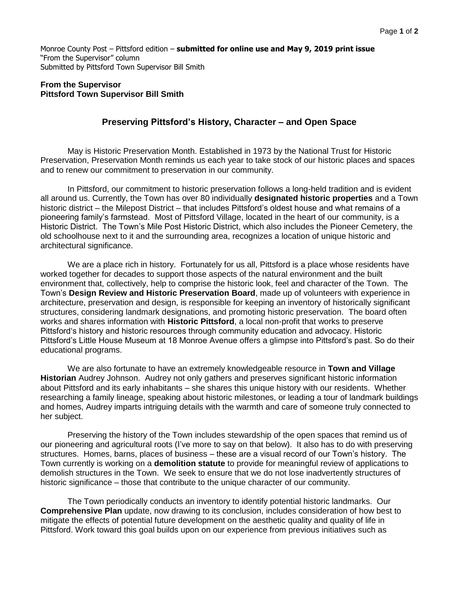Monroe County Post – Pittsford edition – **submitted for online use and May 9, 2019 print issue** "From the Supervisor" column Submitted by Pittsford Town Supervisor Bill Smith

## **From the Supervisor Pittsford Town Supervisor Bill Smith**

## **Preserving Pittsford's History, Character – and Open Space**

May is Historic Preservation Month. Established in 1973 by the National Trust for Historic Preservation, Preservation Month reminds us each year to take stock of our historic places and spaces and to renew our commitment to preservation in our community.

In Pittsford, our commitment to historic preservation follows a long-held tradition and is evident all around us. Currently, the Town has over 80 individually **designated historic properties** and a Town historic district – the Milepost District – that includes Pittsford's oldest house and what remains of a pioneering family's farmstead. Most of Pittsford Village, located in the heart of our community, is a Historic District. The Town's Mile Post Historic District, which also includes the Pioneer Cemetery, the old schoolhouse next to it and the surrounding area, recognizes a location of unique historic and architectural significance.

We are a place rich in history. Fortunately for us all, Pittsford is a place whose residents have worked together for decades to support those aspects of the natural environment and the built environment that, collectively, help to comprise the historic look, feel and character of the Town. The Town's **Design Review and Historic Preservation Board**, made up of volunteers with experience in architecture, preservation and design, is responsible for keeping an inventory of historically significant structures, considering landmark designations, and promoting historic preservation. The board often works and shares information with **Historic Pittsford**, a local non-profit that works to preserve Pittsford's history and historic resources through community education and advocacy. Historic Pittsford's Little House Museum at 18 Monroe Avenue offers a glimpse into Pittsford's past. So do their educational programs.

We are also fortunate to have an extremely knowledgeable resource in **Town and Village Historian** Audrey Johnson. Audrey not only gathers and preserves significant historic information about Pittsford and its early inhabitants – she shares this unique history with our residents. Whether researching a family lineage, speaking about historic milestones, or leading a tour of landmark buildings and homes, Audrey imparts intriguing details with the warmth and care of someone truly connected to her subject.

Preserving the history of the Town includes stewardship of the open spaces that remind us of our pioneering and agricultural roots (I've more to say on that below). It also has to do with preserving structures. Homes, barns, places of business – these are a visual record of our Town's history. The Town currently is working on a **demolition statute** to provide for meaningful review of applications to demolish structures in the Town. We seek to ensure that we do not lose inadvertently structures of historic significance – those that contribute to the unique character of our community.

The Town periodically conducts an inventory to identify potential historic landmarks. Our **Comprehensive Plan** update, now drawing to its conclusion, includes consideration of how best to mitigate the effects of potential future development on the aesthetic quality and quality of life in Pittsford. Work toward this goal builds upon on our experience from previous initiatives such as